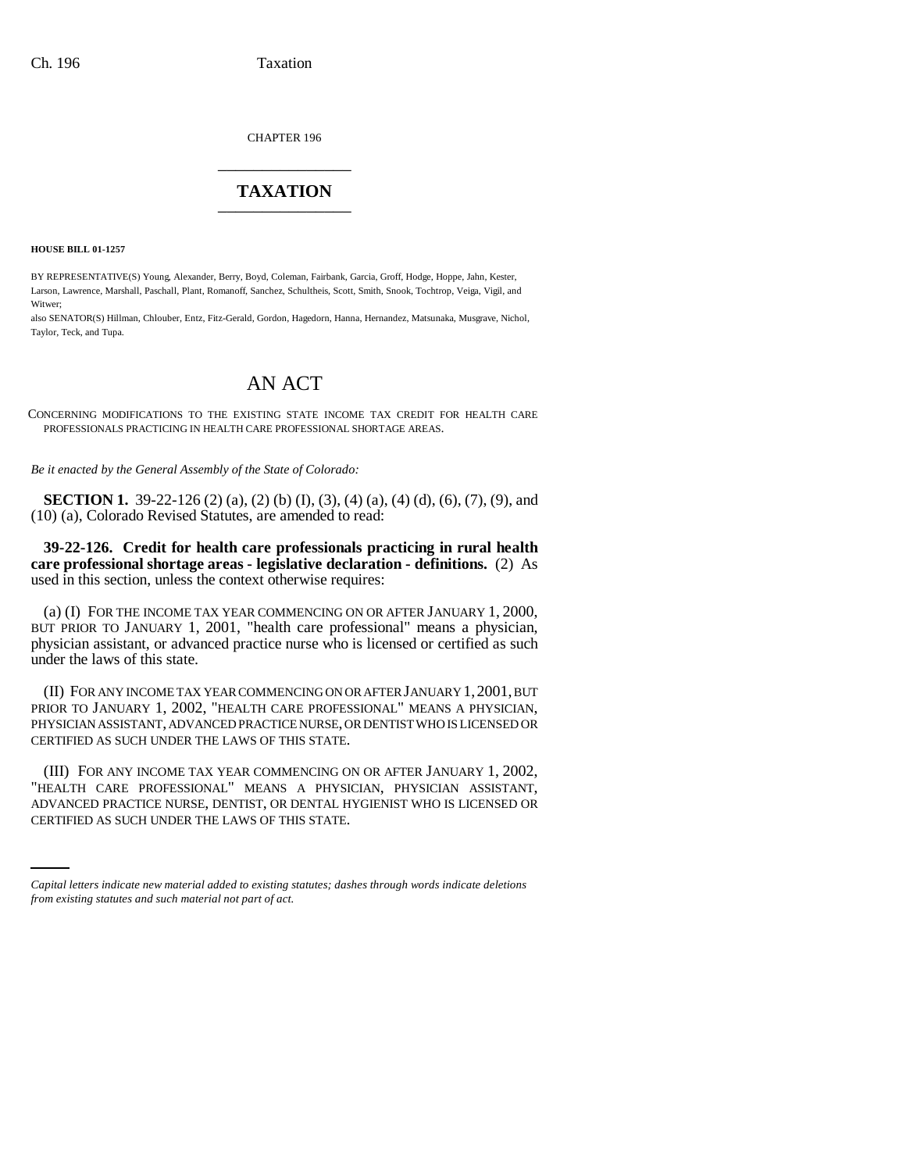CHAPTER 196 \_\_\_\_\_\_\_\_\_\_\_\_\_\_\_

## **TAXATION** \_\_\_\_\_\_\_\_\_\_\_\_\_\_\_

**HOUSE BILL 01-1257**

BY REPRESENTATIVE(S) Young, Alexander, Berry, Boyd, Coleman, Fairbank, Garcia, Groff, Hodge, Hoppe, Jahn, Kester, Larson, Lawrence, Marshall, Paschall, Plant, Romanoff, Sanchez, Schultheis, Scott, Smith, Snook, Tochtrop, Veiga, Vigil, and Witwer;

also SENATOR(S) Hillman, Chlouber, Entz, Fitz-Gerald, Gordon, Hagedorn, Hanna, Hernandez, Matsunaka, Musgrave, Nichol, Taylor, Teck, and Tupa.

## AN ACT

CONCERNING MODIFICATIONS TO THE EXISTING STATE INCOME TAX CREDIT FOR HEALTH CARE PROFESSIONALS PRACTICING IN HEALTH CARE PROFESSIONAL SHORTAGE AREAS.

*Be it enacted by the General Assembly of the State of Colorado:*

**SECTION 1.** 39-22-126 (2) (a), (2) (b) (I), (3), (4) (a), (4) (d), (6), (7), (9), and (10) (a), Colorado Revised Statutes, are amended to read:

**39-22-126. Credit for health care professionals practicing in rural health care professional shortage areas - legislative declaration - definitions.** (2) As used in this section, unless the context otherwise requires:

(a) (I) FOR THE INCOME TAX YEAR COMMENCING ON OR AFTER JANUARY 1, 2000, BUT PRIOR TO JANUARY 1, 2001, "health care professional" means a physician, physician assistant, or advanced practice nurse who is licensed or certified as such under the laws of this state.

(II) FOR ANY INCOME TAX YEAR COMMENCING ON OR AFTER JANUARY 1,2001, BUT PRIOR TO JANUARY 1, 2002, "HEALTH CARE PROFESSIONAL" MEANS A PHYSICIAN, PHYSICIAN ASSISTANT, ADVANCED PRACTICE NURSE, OR DENTIST WHO IS LICENSED OR CERTIFIED AS SUCH UNDER THE LAWS OF THIS STATE.

"HEALTH CARE PROFESSIONAL" MEANS A PHYSICIAN, PHYSICIAN ASSISTANT, (III) FOR ANY INCOME TAX YEAR COMMENCING ON OR AFTER JANUARY 1, 2002, ADVANCED PRACTICE NURSE, DENTIST, OR DENTAL HYGIENIST WHO IS LICENSED OR CERTIFIED AS SUCH UNDER THE LAWS OF THIS STATE.

*Capital letters indicate new material added to existing statutes; dashes through words indicate deletions from existing statutes and such material not part of act.*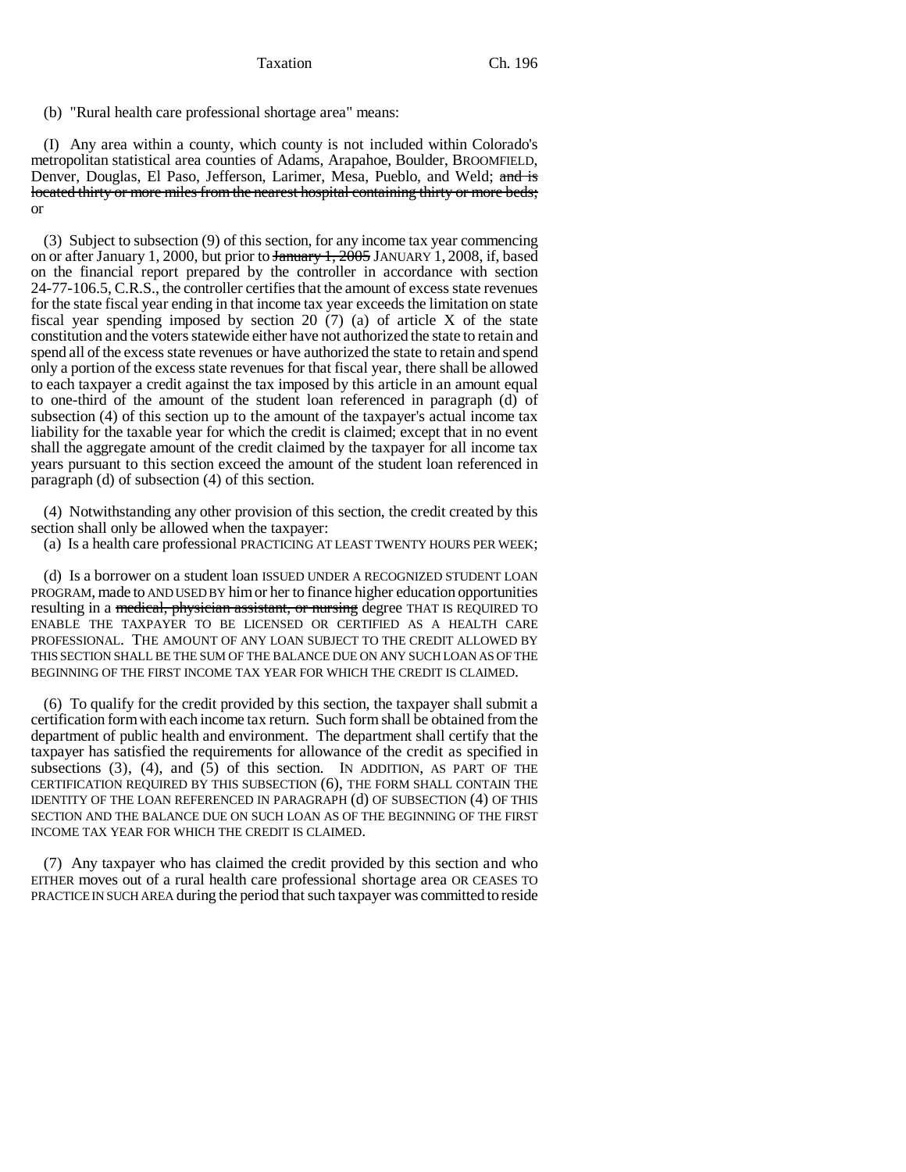Taxation Ch. 196

(b) "Rural health care professional shortage area" means:

(I) Any area within a county, which county is not included within Colorado's metropolitan statistical area counties of Adams, Arapahoe, Boulder, BROOMFIELD, Denver, Douglas, El Paso, Jefferson, Larimer, Mesa, Pueblo, and Weld; and is located thirty or more miles from the nearest hospital containing thirty or more beds; or

(3) Subject to subsection (9) of this section, for any income tax year commencing on or after January 1, 2000, but prior to January 1, 2005 JANUARY 1, 2008, if, based on the financial report prepared by the controller in accordance with section 24-77-106.5, C.R.S., the controller certifies that the amount of excess state revenues for the state fiscal year ending in that income tax year exceeds the limitation on state fiscal year spending imposed by section 20 (7) (a) of article X of the state constitution and the voters statewide either have not authorized the state to retain and spend all of the excess state revenues or have authorized the state to retain and spend only a portion of the excess state revenues for that fiscal year, there shall be allowed to each taxpayer a credit against the tax imposed by this article in an amount equal to one-third of the amount of the student loan referenced in paragraph (d) of subsection (4) of this section up to the amount of the taxpayer's actual income tax liability for the taxable year for which the credit is claimed; except that in no event shall the aggregate amount of the credit claimed by the taxpayer for all income tax years pursuant to this section exceed the amount of the student loan referenced in paragraph (d) of subsection (4) of this section.

(4) Notwithstanding any other provision of this section, the credit created by this section shall only be allowed when the taxpayer:

(a) Is a health care professional PRACTICING AT LEAST TWENTY HOURS PER WEEK;

(d) Is a borrower on a student loan ISSUED UNDER A RECOGNIZED STUDENT LOAN PROGRAM, made to AND USED BY him or her to finance higher education opportunities resulting in a medical, physician assistant, or nursing degree THAT IS REQUIRED TO ENABLE THE TAXPAYER TO BE LICENSED OR CERTIFIED AS A HEALTH CARE PROFESSIONAL. THE AMOUNT OF ANY LOAN SUBJECT TO THE CREDIT ALLOWED BY THIS SECTION SHALL BE THE SUM OF THE BALANCE DUE ON ANY SUCH LOAN AS OF THE BEGINNING OF THE FIRST INCOME TAX YEAR FOR WHICH THE CREDIT IS CLAIMED.

(6) To qualify for the credit provided by this section, the taxpayer shall submit a certification form with each income tax return. Such form shall be obtained from the department of public health and environment. The department shall certify that the taxpayer has satisfied the requirements for allowance of the credit as specified in subsections  $(3)$ ,  $(4)$ , and  $(5)$  of this section. IN ADDITION, AS PART OF THE CERTIFICATION REQUIRED BY THIS SUBSECTION (6), THE FORM SHALL CONTAIN THE IDENTITY OF THE LOAN REFERENCED IN PARAGRAPH (d) OF SUBSECTION (4) OF THIS SECTION AND THE BALANCE DUE ON SUCH LOAN AS OF THE BEGINNING OF THE FIRST INCOME TAX YEAR FOR WHICH THE CREDIT IS CLAIMED.

(7) Any taxpayer who has claimed the credit provided by this section and who EITHER moves out of a rural health care professional shortage area OR CEASES TO PRACTICE IN SUCH AREA during the period that such taxpayer was committed to reside